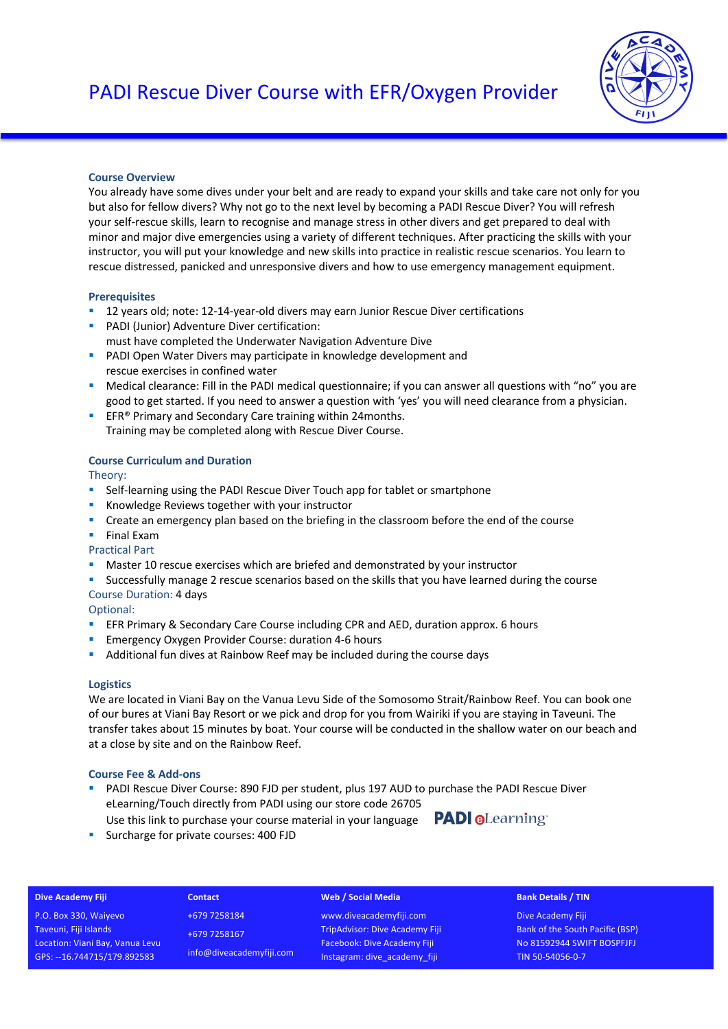

## **Course Overview**

You already have some dives under your belt and are ready to expand your skills and take care not only for you but also for fellow divers? Why not go to the next level by becoming a PADI Rescue Diver? You will refresh your self-rescue skills, learn to recognise and manage stress in other divers and get prepared to deal with minor and major dive emergencies using a variety of different techniques. After practicing the skills with your instructor, you will put your knowledge and new skills into practice in realistic rescue scenarios. You learn to rescue distressed, panicked and unresponsive divers and how to use emergency management equipment.

### **Prerequisites**

- 12 years old; note: 12-14-year-old divers may earn Junior Rescue Diver certifications
- PADI (Junior) Adventure Diver certification: must have completed the Underwater Navigation Adventure Dive
- **PADI Open Water Divers may participate in knowledge development and** rescue exercises in confined water
- Medical clearance: Fill in the PADI medical questionnaire; if you can answer all questions with "no" you are good to get started. If you need to answer a question with 'yes' you will need clearance from a physician.
- EFR<sup>®</sup> Primary and Secondary Care training within 24months.

Training may be completed along with Rescue Diver Course.

# **Course Curriculum and Duration**

Theory:

- Self-learning using the PADI Rescue Diver Touch app for tablet or smartphone
- Knowledge Reviews together with your instructor
- Create an emergency plan based on the briefing in the classroom before the end of the course
- § Final Exam
- Practical Part
- Master 10 rescue exercises which are briefed and demonstrated by your instructor
- § Successfully manage 2 rescue scenarios based on the skills that you have learned during the course
- Course Duration: 4 days

Optional:

- EFR Primary & Secondary Care Course including CPR and AED, duration approx. 6 hours
- Emergency Oxygen Provider Course: duration 4-6 hours
- Additional fun dives at Rainbow Reef may be included during the course days

## **Logistics**

We are located in Viani Bay on the Vanua Levu Side of the Somosomo Strait/Rainbow Reef. You can book one of our bures at Viani Bay Resort or we pick and drop for you from Wairiki if you are staying in Taveuni. The transfer takes about 15 minutes by boat. Your course will be conducted in the shallow water on our beach and at a close by site and on the Rainbow Reef.

## **Course Fee & Add-ons**

- § PADI Rescue Diver Course: 890 FJD per student, plus 197 AUD to purchase the PADI Rescue Diver eLearning/Touch directly from PADI using our store code 26705
- Use this link to purchase your course material in your language PADI @Learning ■ Surcharge for private courses: 400 FJD

## **Dive Academy Fiji**

P.O. Box 330, Waiyevo Taveuni, Fiji Islands Location: Viani Bay, Vanua Levu GPS: --16.744715/179.892583

**Contact** +679 7258184 +679 7258167 info@diveacademyfiji.com

### **Web / Social Media**

www.diveacademyfiji.com TripAdvisor: Dive Academy Fiji Facebook: Dive Academy Fiji Instagram: dive\_academy\_fiji

#### **Bank Details / TIN**

Dive Academy Fiji Bank of the South Pacific (BSP) No 81592944 SWIFT BOSPFJFJ TIN 50-54056-0-7